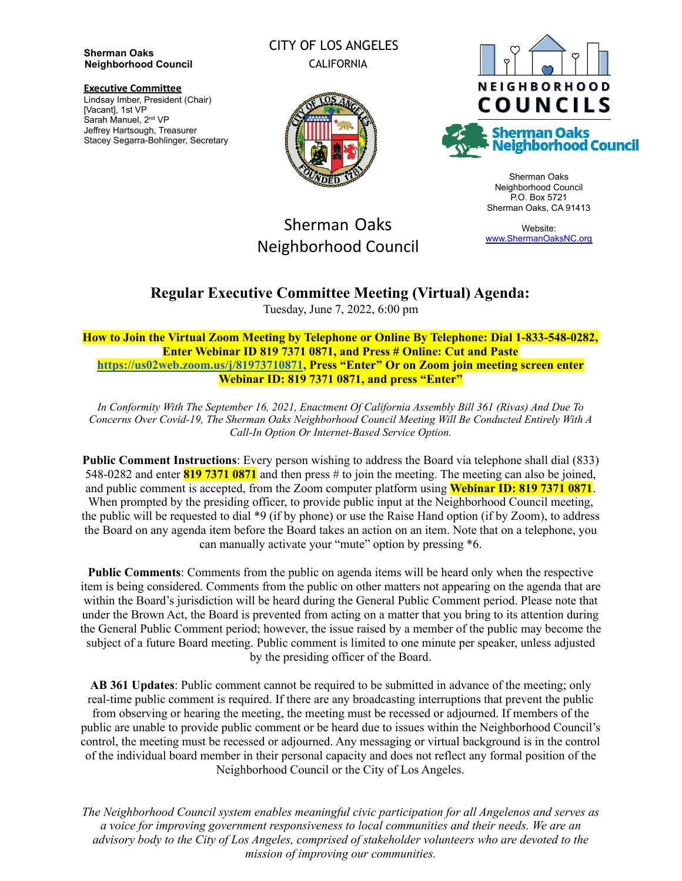**Sherman Oaks Neighborhood Council**

**Executive Committee** Lindsay Imber, President (Chair)

[Vacant], 1st VP Sarah Manuel, 2<sup>nd</sup> VP Jeffrey Hartsough, Treasurer Stacey Segarra-Bohlinger, Secretary CITY OF LOS ANGELES CALIFORNIA





Sherman Oaks Neighborhood Council P.O. Box 5721 Sherman Oaks, CA 91413

Website: [www.ShermanOaksNC.org](http://www.shermanoaksnc.org)

# Sherman Oaks Neighborhood Council

# **Regular Executive Committee Meeting (Virtual) Agenda:**

Tuesday, June 7, 2022, 6:00 pm

**How to Join the Virtual Zoom Meeting by Telephone or Online By Telephone: Dial 1-833-548-0282, Enter Webinar ID 819 7371 0871, and Press # Online: Cut and Paste <https://us02web.zoom.us/j/81973710871>, Press "Enter" Or on Zoom join meeting screen enter Webinar ID: 819 7371 0871, and press "Enter"**

*In Conformity With The September 16, 2021, Enactment Of California Assembly Bill 361 (Rivas) And Due To Concerns Over Covid-19, The Sherman Oaks Neighborhood Council Meeting Will Be Conducted Entirely With A Call-In Option Or Internet-Based Service Option.*

**Public Comment Instructions**: Every person wishing to address the Board via telephone shall dial (833) 548-0282 and enter **819 7371 0871** and then press # to join the meeting. The meeting can also be joined, and public comment is accepted, from the Zoom computer platform using **Webinar ID: 819 7371 0871**. When prompted by the presiding officer, to provide public input at the Neighborhood Council meeting, the public will be requested to dial \*9 (if by phone) or use the Raise Hand option (if by Zoom), to address the Board on any agenda item before the Board takes an action on an item. Note that on a telephone, you can manually activate your "mute" option by pressing \*6.

**Public Comments**: Comments from the public on agenda items will be heard only when the respective item is being considered. Comments from the public on other matters not appearing on the agenda that are within the Board's jurisdiction will be heard during the General Public Comment period. Please note that under the Brown Act, the Board is prevented from acting on a matter that you bring to its attention during the General Public Comment period; however, the issue raised by a member of the public may become the subject of a future Board meeting. Public comment is limited to one minute per speaker, unless adjusted by the presiding officer of the Board.

**AB 361 Updates**: Public comment cannot be required to be submitted in advance of the meeting; only real-time public comment is required. If there are any broadcasting interruptions that prevent the public from observing or hearing the meeting, the meeting must be recessed or adjourned. If members of the public are unable to provide public comment or be heard due to issues within the Neighborhood Council's control, the meeting must be recessed or adjourned. Any messaging or virtual background is in the control of the individual board member in their personal capacity and does not reflect any formal position of the Neighborhood Council or the City of Los Angeles.

*The Neighborhood Council system enables meaningful civic participation for all Angelenos and serves as a voice for improving government responsiveness to local communities and their needs. We are an advisory body to the City of Los Angeles, comprised of stakeholder volunteers who are devoted to the mission of improving our communities.*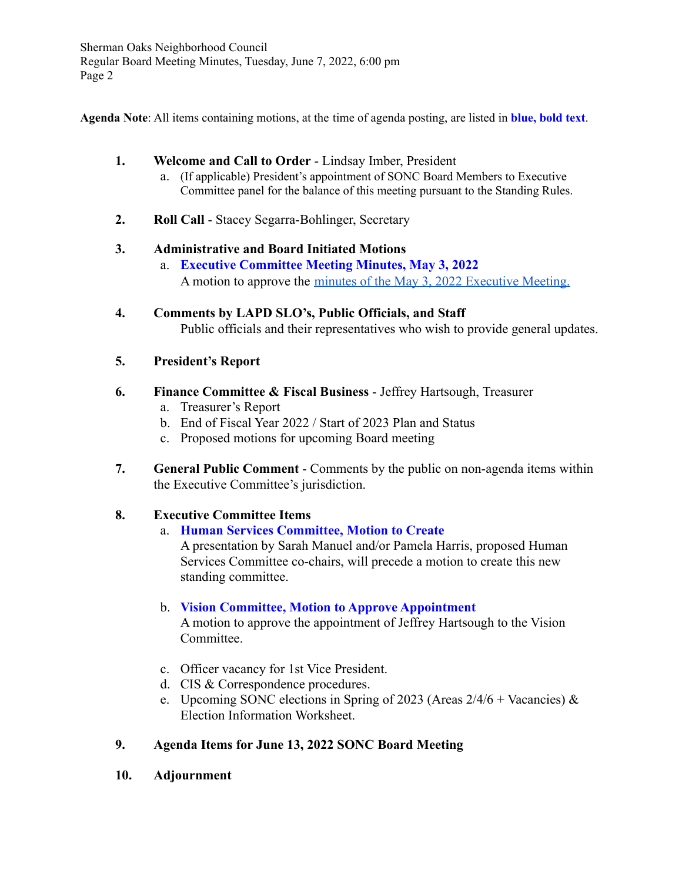Sherman Oaks Neighborhood Council Regular Board Meeting Minutes, Tuesday, June 7, 2022, 6:00 pm Page 2

**Agenda Note**: All items containing motions, at the time of agenda posting, are listed in **blue, bold text**.

- **1. Welcome and Call to Order** Lindsay Imber, President
	- a. (If applicable) President's appointment of SONC Board Members to Executive Committee panel for the balance of this meeting pursuant to the Standing Rules.
- **2. Roll Call** Stacey Segarra-Bohlinger, Secretary

# **3. Administrative and Board Initiated Motions**

- a. **Executive Committee Meeting Minutes, May 3, 2022** A motion to approve the [minutes of the May 3, 2022](https://www.shermanoaksnc.org/assets/documents/7/meeting629a59ea3a117.pdf) Executive Meeting.
- **4. Comments by LAPD SLO's, Public Officials, and Staff** Public officials and their representatives who wish to provide general updates.
- **5. President's Report**
- **6. Finance Committee & Fiscal Business** Jeffrey Hartsough, Treasurer
	- a. Treasurer's Report
	- b. End of Fiscal Year 2022 / Start of 2023 Plan and Status
	- c. Proposed motions for upcoming Board meeting
- **7. General Public Comment** Comments by the public on non-agenda items within the Executive Committee's jurisdiction.

# **8. Executive Committee Items**

a. **Human Services Committee, Motion to Create**

A presentation by Sarah Manuel and/or Pamela Harris, proposed Human Services Committee co-chairs, will precede a motion to create this new standing committee.

# b. **Vision Committee, Motion to Approve Appointment**

A motion to approve the appointment of Jeffrey Hartsough to the Vision Committee.

- c. Officer vacancy for 1st Vice President.
- d. CIS & Correspondence procedures.
- e. Upcoming SONC elections in Spring of 2023 (Areas  $2/4/6$  + Vacancies) & Election Information Worksheet.

# **9. Agenda Items for June 13, 2022 SONC Board Meeting**

**10. Adjournment**